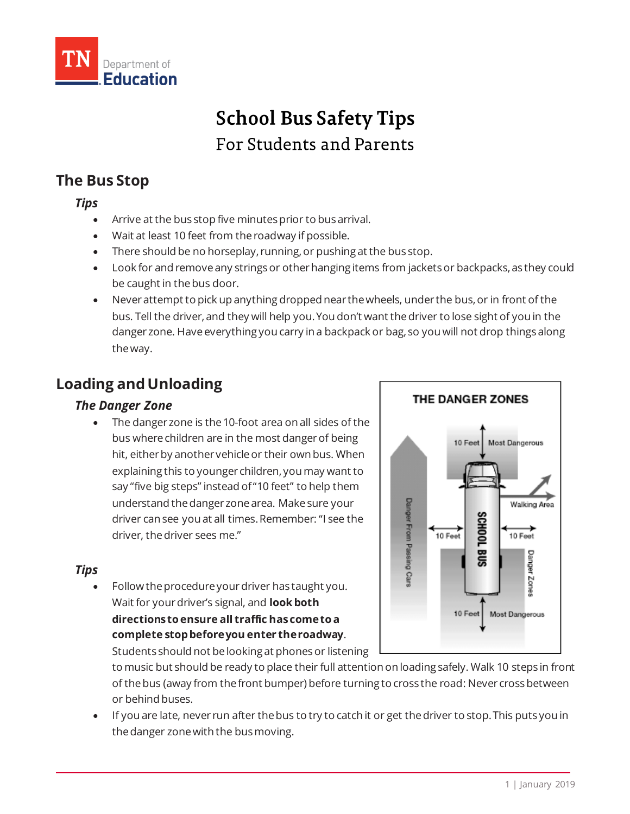

# **School Bus Safety Tips** For Students and Parents

### **The Bus Stop**

### *Tips*

- Arrive at the bus stop five minutes prior to bus arrival.
- Wait at least 10 feet from the roadway if possible.
- There should be no horseplay, running, or pushing at the bus stop.
- Look for and remove any strings or other hanging items from jackets or backpacks, as they could be caught in the bus door.
- Neverattempt to pick up anything dropped near the wheels, under the bus, or in front of the bus. Tell the driver, and they will help you. You don't want the driver to lose sight of you in the danger zone. Have everything you carry in a backpack or bag, so you will not drop things along the way.

## **Loading and Unloading**

### *The Danger Zone*

 The danger zone is the 10-foot area on all sides of the bus where children are in the most danger of being hit, either by another vehicle or their own bus. When explaining this to younger children, you may want to say "five big steps" instead of "10 feet" to help them understand the danger zone area. Make sure your driver can see you at all times. Remember: "I see the driver, the driver sees me."

### *Tips*

 Follow the procedure your driver has taught you. Wait for your driver's signal, and **look both directions to ensure all traffic has come to a complete stop before you enter the roadway**. Students should not be looking at phones or listening



to music but should be ready to place their full attention on loading safely. Walk 10 steps in front of the bus (away from the front bumper) before turning to cross the road: Never cross between or behind buses.

 If you are late, never run after the bus to try to catch it or get the driver to stop. This puts you in the danger zone with the bus moving.